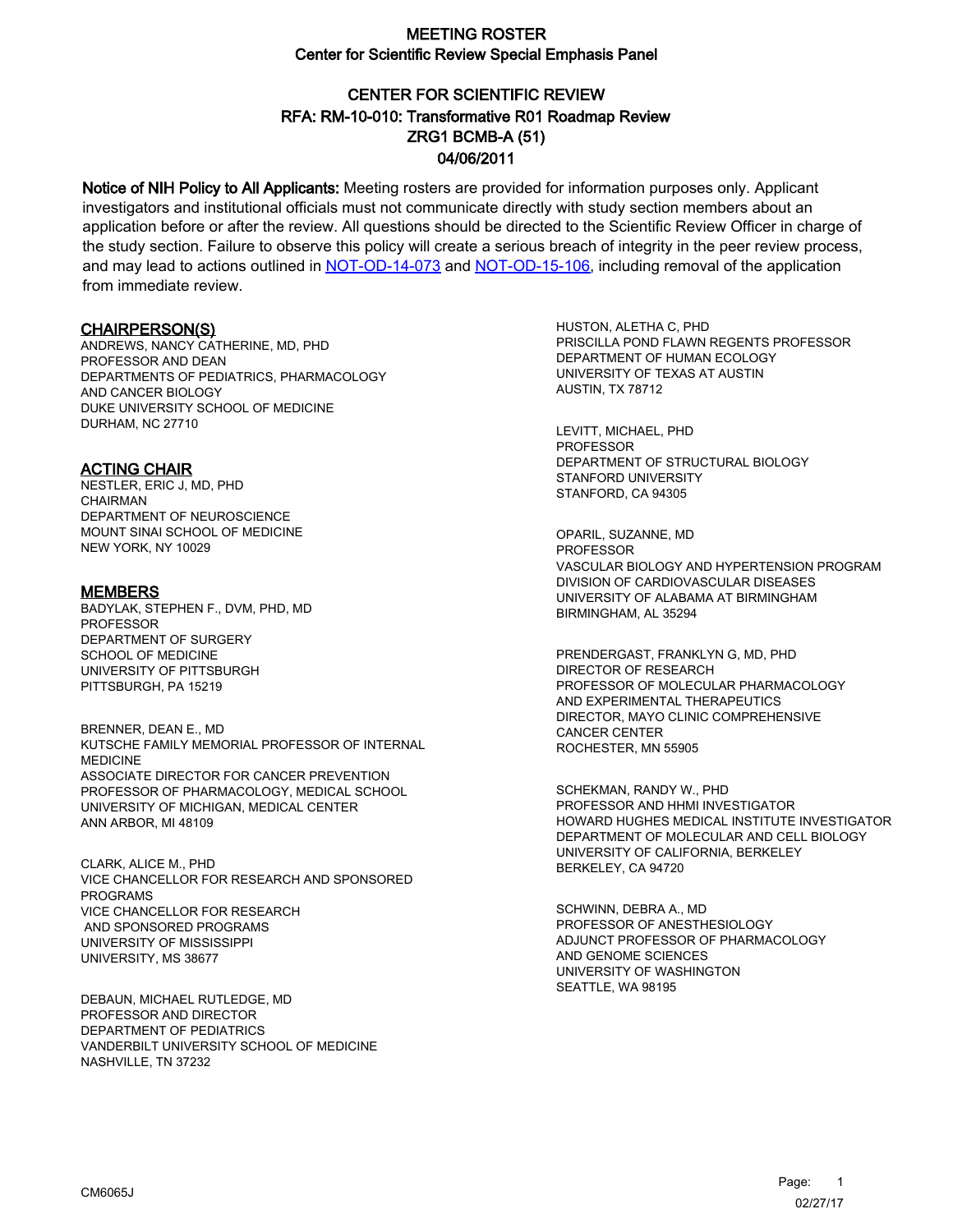# CENTER FOR SCIENTIFIC REVIEW ZRG1 BCMB-A (51) 04/06/2011 RFA: RM-10-010: Transformative R01 Roadmap Review

Notice of NIH Policy to All Applicants: Meeting rosters are provided for information purposes only. Applicant investigators and institutional officials must not communicate directly with study section members about an application before or after the review. All questions should be directed to the Scientific Review Officer in charge of the study section. Failure to observe this policy will create a serious breach of integrity in the peer review process, and may lead to actions outlined in [NOT-OD-14-073](https://grants.nih.gov/grants/guide/notice-files/NOT-OD-14-073.html) and [NOT-OD-15-106,](https://grants.nih.gov/grants/guide/notice-files/NOT-OD-15-106.html) including removal of the application from immediate review.

#### CHAIRPERSON(S)

ANDREWS, NANCY CATHERINE, MD, PHD PROFESSOR AND DEAN DEPARTMENTS OF PEDIATRICS, PHARMACOLOGY AND CANCER BIOLOGY DUKE UNIVERSITY SCHOOL OF MEDICINE DURHAM, NC 27710

#### ACTING CHAIR

NESTLER, ERIC J, MD, PHD CHAIRMAN DEPARTMENT OF NEUROSCIENCE MOUNT SINAI SCHOOL OF MEDICINE NEW YORK, NY 10029

#### **MEMBERS**

BADYLAK, STEPHEN F., DVM, PHD, MD PROFESSOR DEPARTMENT OF SURGERY SCHOOL OF MEDICINE UNIVERSITY OF PITTSBURGH PITTSBURGH, PA 15219

BRENNER, DEAN E., MD KUTSCHE FAMILY MEMORIAL PROFESSOR OF INTERNAL MEDICINE ASSOCIATE DIRECTOR FOR CANCER PREVENTION PROFESSOR OF PHARMACOLOGY, MEDICAL SCHOOL UNIVERSITY OF MICHIGAN, MEDICAL CENTER ANN ARBOR, MI 48109

CLARK, ALICE M., PHD VICE CHANCELLOR FOR RESEARCH AND SPONSORED PROGRAMS VICE CHANCELLOR FOR RESEARCH AND SPONSORED PROGRAMS UNIVERSITY OF MISSISSIPPI UNIVERSITY, MS 38677

DEBAUN, MICHAEL RUTLEDGE, MD PROFESSOR AND DIRECTOR DEPARTMENT OF PEDIATRICS VANDERBILT UNIVERSITY SCHOOL OF MEDICINE NASHVILLE, TN 37232

HUSTON, ALETHA C, PHD PRISCILLA POND FLAWN REGENTS PROFESSOR DEPARTMENT OF HUMAN ECOLOGY UNIVERSITY OF TEXAS AT AUSTIN AUSTIN, TX 78712

LEVITT, MICHAEL, PHD PROFESSOR DEPARTMENT OF STRUCTURAL BIOLOGY STANFORD UNIVERSITY STANFORD, CA 94305

OPARIL, SUZANNE, MD PROFESSOR VASCULAR BIOLOGY AND HYPERTENSION PROGRAM DIVISION OF CARDIOVASCULAR DISEASES UNIVERSITY OF ALABAMA AT BIRMINGHAM BIRMINGHAM, AL 35294

PRENDERGAST, FRANKLYN G, MD, PHD DIRECTOR OF RESEARCH PROFESSOR OF MOLECULAR PHARMACOLOGY AND EXPERIMENTAL THERAPEUTICS DIRECTOR, MAYO CLINIC COMPREHENSIVE CANCER CENTER ROCHESTER, MN 55905

SCHEKMAN, RANDY W., PHD PROFESSOR AND HHMI INVESTIGATOR HOWARD HUGHES MEDICAL INSTITUTE INVESTIGATOR DEPARTMENT OF MOLECULAR AND CELL BIOLOGY UNIVERSITY OF CALIFORNIA, BERKELEY BERKELEY, CA 94720

SCHWINN, DEBRA A., MD PROFESSOR OF ANESTHESIOLOGY ADJUNCT PROFESSOR OF PHARMACOLOGY AND GENOME SCIENCES UNIVERSITY OF WASHINGTON SEATTLE, WA 98195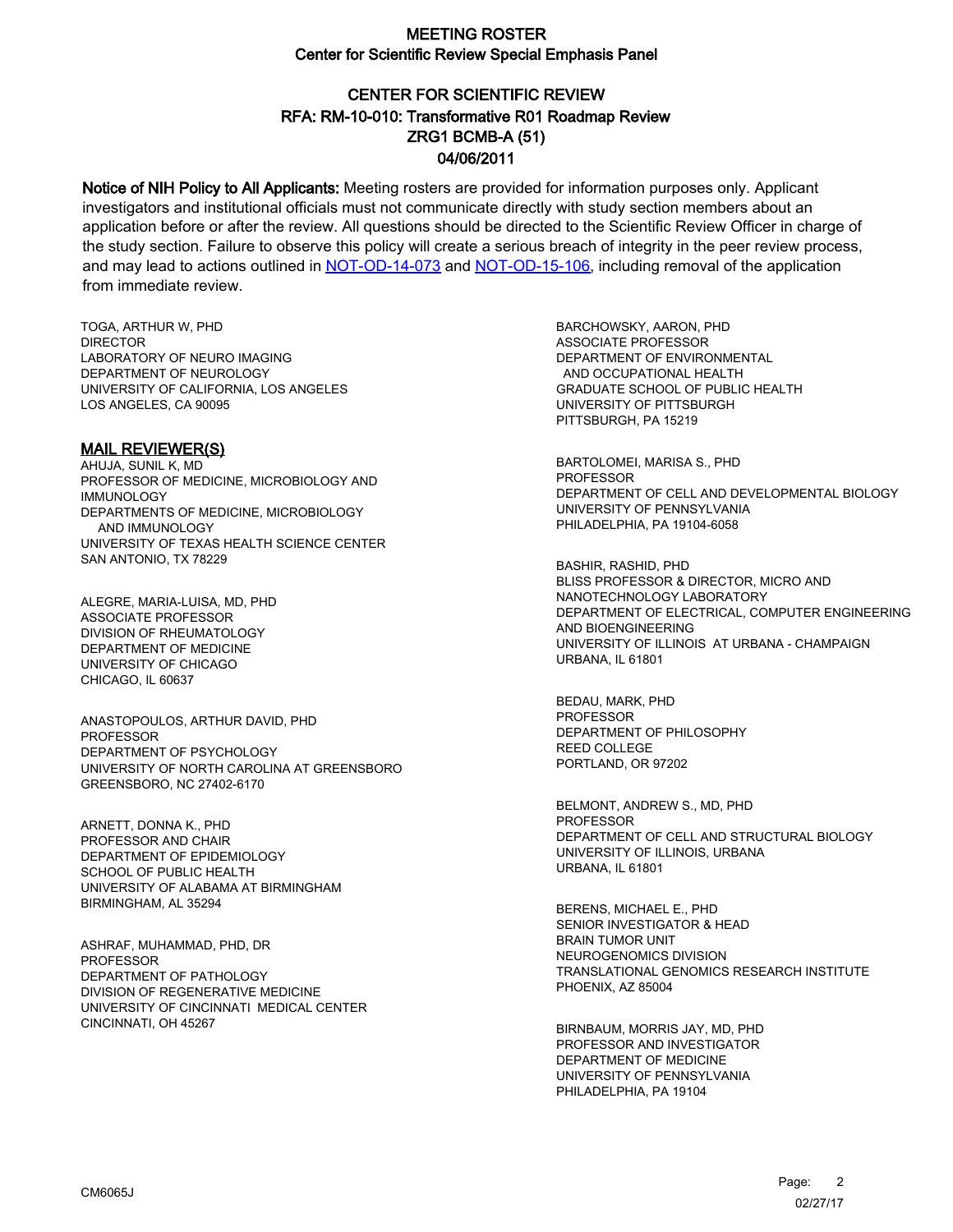# CENTER FOR SCIENTIFIC REVIEW ZRG1 BCMB-A (51) 04/06/2011 RFA: RM-10-010: Transformative R01 Roadmap Review

Notice of NIH Policy to All Applicants: Meeting rosters are provided for information purposes only. Applicant investigators and institutional officials must not communicate directly with study section members about an application before or after the review. All questions should be directed to the Scientific Review Officer in charge of the study section. Failure to observe this policy will create a serious breach of integrity in the peer review process, and may lead to actions outlined in [NOT-OD-14-073](https://grants.nih.gov/grants/guide/notice-files/NOT-OD-14-073.html) and [NOT-OD-15-106,](https://grants.nih.gov/grants/guide/notice-files/NOT-OD-15-106.html) including removal of the application from immediate review.

TOGA, ARTHUR W, PHD **DIRECTOR** LABORATORY OF NEURO IMAGING DEPARTMENT OF NEUROLOGY UNIVERSITY OF CALIFORNIA, LOS ANGELES LOS ANGELES, CA 90095

#### MAIL REVIEWER(S)

AHUJA, SUNIL K, MD PROFESSOR OF MEDICINE, MICROBIOLOGY AND IMMUNOLOGY DEPARTMENTS OF MEDICINE, MICROBIOLOGY AND IMMUNOLOGY UNIVERSITY OF TEXAS HEALTH SCIENCE CENTER SAN ANTONIO, TX 78229

ALEGRE, MARIA-LUISA, MD, PHD ASSOCIATE PROFESSOR DIVISION OF RHEUMATOLOGY DEPARTMENT OF MEDICINE UNIVERSITY OF CHICAGO CHICAGO, IL 60637

ANASTOPOULOS, ARTHUR DAVID, PHD **PROFESSOR** DEPARTMENT OF PSYCHOLOGY UNIVERSITY OF NORTH CAROLINA AT GREENSBORO GREENSBORO, NC 27402-6170

ARNETT, DONNA K., PHD PROFESSOR AND CHAIR DEPARTMENT OF EPIDEMIOLOGY SCHOOL OF PUBLIC HEALTH UNIVERSITY OF ALABAMA AT BIRMINGHAM BIRMINGHAM, AL 35294

ASHRAF, MUHAMMAD, PHD, DR PROFESSOR DEPARTMENT OF PATHOLOGY DIVISION OF REGENERATIVE MEDICINE UNIVERSITY OF CINCINNATI MEDICAL CENTER CINCINNATI, OH 45267

BARCHOWSKY, AARON, PHD ASSOCIATE PROFESSOR DEPARTMENT OF ENVIRONMENTAL AND OCCUPATIONAL HEALTH GRADUATE SCHOOL OF PUBLIC HEALTH UNIVERSITY OF PITTSBURGH PITTSBURGH, PA 15219

BARTOLOMEI, MARISA S., PHD PROFESSOR DEPARTMENT OF CELL AND DEVELOPMENTAL BIOLOGY UNIVERSITY OF PENNSYLVANIA PHILADELPHIA, PA 19104-6058

BASHIR, RASHID, PHD BLISS PROFESSOR & DIRECTOR, MICRO AND NANOTECHNOLOGY LABORATORY DEPARTMENT OF ELECTRICAL, COMPUTER ENGINEERING AND BIOENGINEERING UNIVERSITY OF ILLINOIS AT URBANA - CHAMPAIGN URBANA, IL 61801

BEDAU, MARK, PHD PROFESSOR DEPARTMENT OF PHILOSOPHY REED COLLEGE PORTLAND, OR 97202

BELMONT, ANDREW S., MD, PHD PROFESSOR DEPARTMENT OF CELL AND STRUCTURAL BIOLOGY UNIVERSITY OF ILLINOIS, URBANA URBANA, IL 61801

BERENS, MICHAEL E., PHD SENIOR INVESTIGATOR & HEAD BRAIN TUMOR UNIT NEUROGENOMICS DIVISION TRANSLATIONAL GENOMICS RESEARCH INSTITUTE PHOENIX, AZ 85004

BIRNBAUM, MORRIS JAY, MD, PHD PROFESSOR AND INVESTIGATOR DEPARTMENT OF MEDICINE UNIVERSITY OF PENNSYLVANIA PHILADELPHIA, PA 19104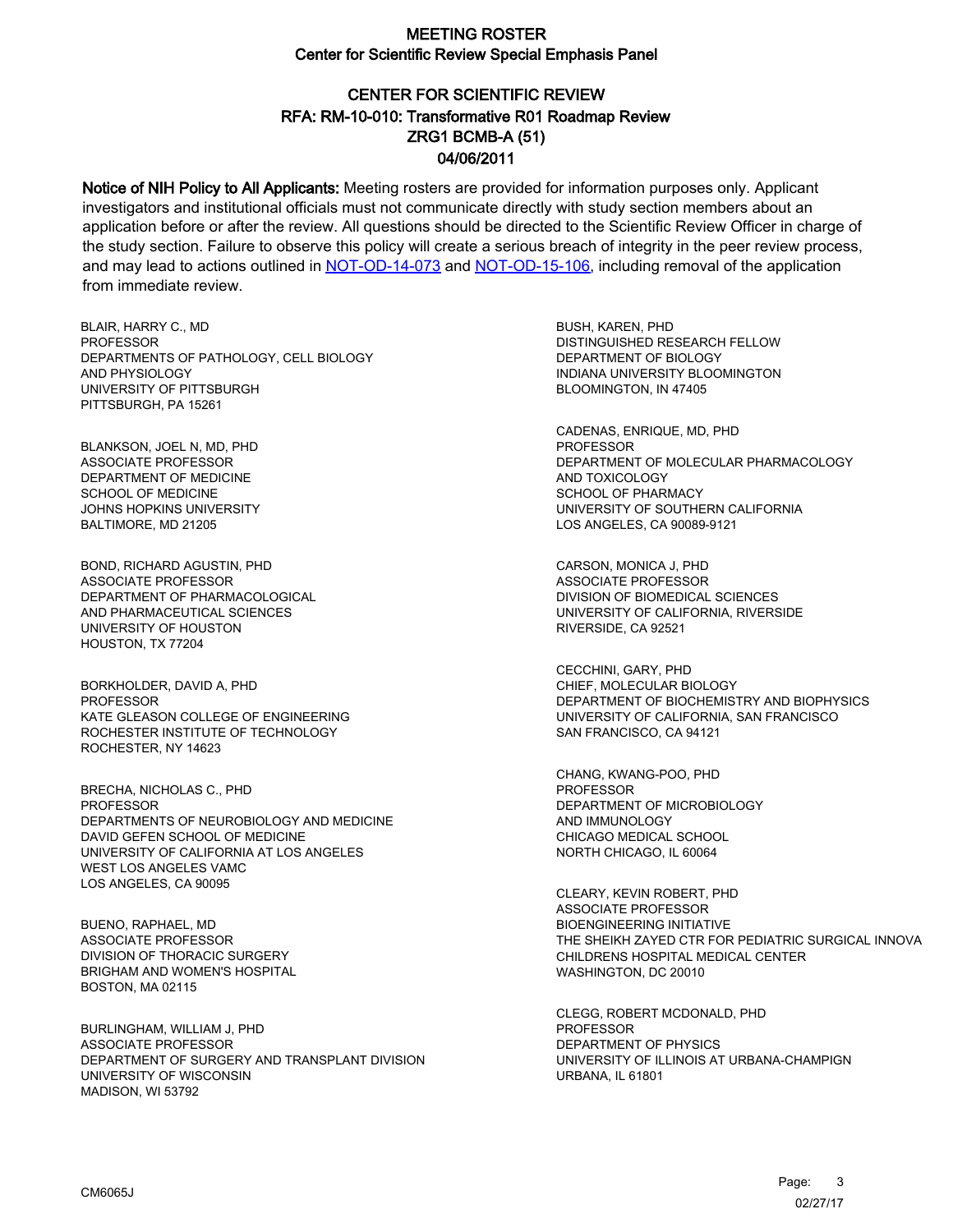# CENTER FOR SCIENTIFIC REVIEW ZRG1 BCMB-A (51) 04/06/2011 RFA: RM-10-010: Transformative R01 Roadmap Review

Notice of NIH Policy to All Applicants: Meeting rosters are provided for information purposes only. Applicant investigators and institutional officials must not communicate directly with study section members about an application before or after the review. All questions should be directed to the Scientific Review Officer in charge of the study section. Failure to observe this policy will create a serious breach of integrity in the peer review process, and may lead to actions outlined in [NOT-OD-14-073](https://grants.nih.gov/grants/guide/notice-files/NOT-OD-14-073.html) and [NOT-OD-15-106,](https://grants.nih.gov/grants/guide/notice-files/NOT-OD-15-106.html) including removal of the application from immediate review.

BLAIR, HARRY C., MD **PROFESSOR** DEPARTMENTS OF PATHOLOGY, CELL BIOLOGY AND PHYSIOLOGY UNIVERSITY OF PITTSBURGH PITTSBURGH, PA 15261

BLANKSON, JOEL N, MD, PHD ASSOCIATE PROFESSOR DEPARTMENT OF MEDICINE SCHOOL OF MEDICINE JOHNS HOPKINS UNIVERSITY BALTIMORE, MD 21205

BOND, RICHARD AGUSTIN, PHD ASSOCIATE PROFESSOR DEPARTMENT OF PHARMACOLOGICAL AND PHARMACEUTICAL SCIENCES UNIVERSITY OF HOUSTON HOUSTON, TX 77204

BORKHOLDER, DAVID A, PHD **PROFESSOR** KATE GLEASON COLLEGE OF ENGINEERING ROCHESTER INSTITUTE OF TECHNOLOGY ROCHESTER, NY 14623

BRECHA, NICHOLAS C., PHD PROFESSOR DEPARTMENTS OF NEUROBIOLOGY AND MEDICINE DAVID GEFEN SCHOOL OF MEDICINE UNIVERSITY OF CALIFORNIA AT LOS ANGELES WEST LOS ANGELES VAMC LOS ANGELES, CA 90095

BUENO, RAPHAEL, MD ASSOCIATE PROFESSOR DIVISION OF THORACIC SURGERY BRIGHAM AND WOMEN'S HOSPITAL BOSTON, MA 02115

BURLINGHAM, WILLIAM J, PHD ASSOCIATE PROFESSOR DEPARTMENT OF SURGERY AND TRANSPLANT DIVISION UNIVERSITY OF WISCONSIN MADISON, WI 53792

BUSH, KAREN, PHD DISTINGUISHED RESEARCH FELLOW DEPARTMENT OF BIOLOGY INDIANA UNIVERSITY BLOOMINGTON BLOOMINGTON, IN 47405

CADENAS, ENRIQUE, MD, PHD PROFESSOR DEPARTMENT OF MOLECULAR PHARMACOLOGY AND TOXICOLOGY SCHOOL OF PHARMACY UNIVERSITY OF SOUTHERN CALIFORNIA LOS ANGELES, CA 90089-9121

CARSON, MONICA J, PHD ASSOCIATE PROFESSOR DIVISION OF BIOMEDICAL SCIENCES UNIVERSITY OF CALIFORNIA, RIVERSIDE RIVERSIDE, CA 92521

CECCHINI, GARY, PHD CHIEF, MOLECULAR BIOLOGY DEPARTMENT OF BIOCHEMISTRY AND BIOPHYSICS UNIVERSITY OF CALIFORNIA, SAN FRANCISCO SAN FRANCISCO, CA 94121

CHANG, KWANG-POO, PHD PROFESSOR DEPARTMENT OF MICROBIOLOGY AND IMMUNOLOGY CHICAGO MEDICAL SCHOOL NORTH CHICAGO, IL 60064

CLEARY, KEVIN ROBERT, PHD ASSOCIATE PROFESSOR BIOENGINEERING INITIATIVE THE SHEIKH ZAYED CTR FOR PEDIATRIC SURGICAL INNOVA CHILDRENS HOSPITAL MEDICAL CENTER WASHINGTON, DC 20010

CLEGG, ROBERT MCDONALD, PHD PROFESSOR DEPARTMENT OF PHYSICS UNIVERSITY OF ILLINOIS AT URBANA-CHAMPIGN URBANA, IL 61801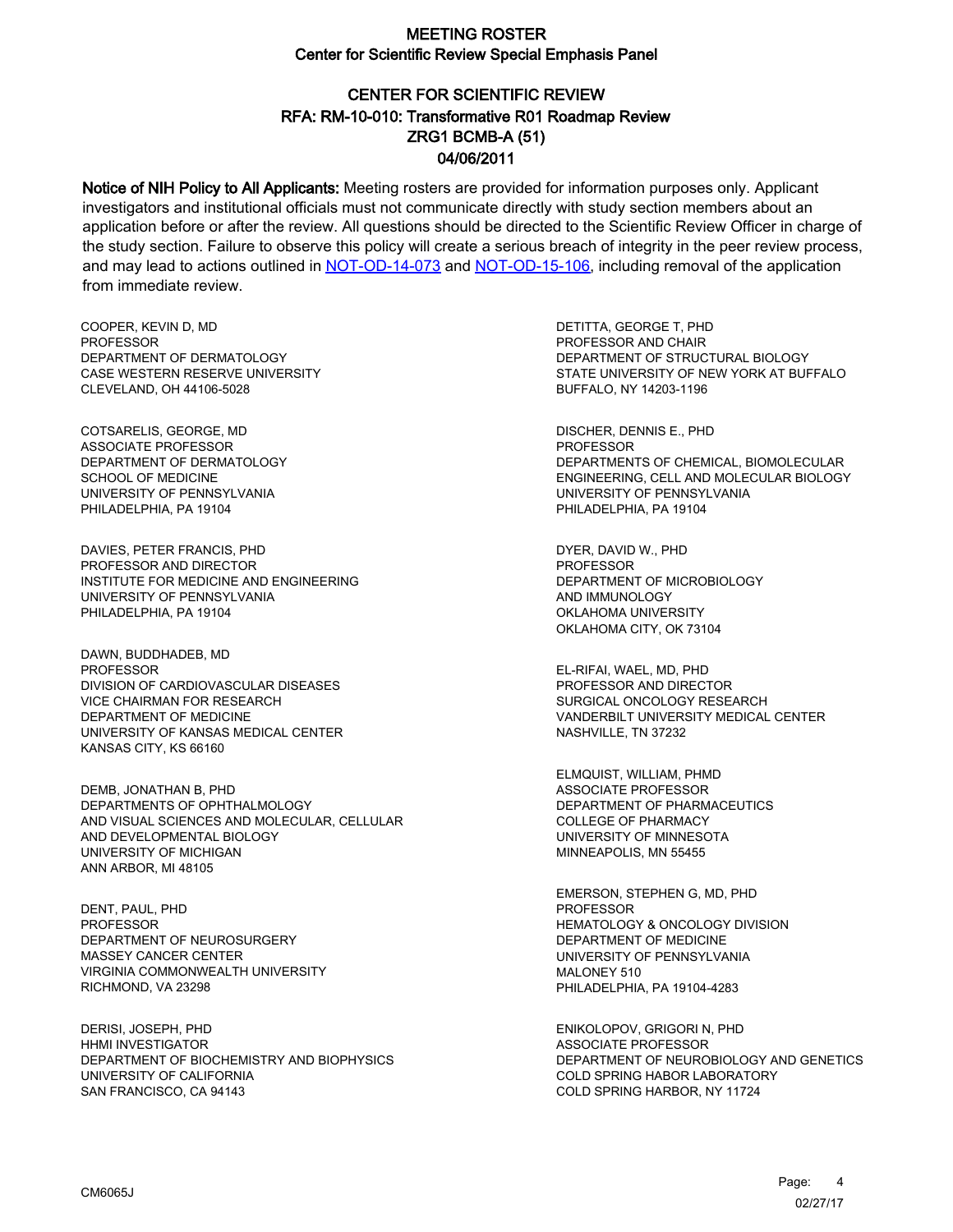# CENTER FOR SCIENTIFIC REVIEW ZRG1 BCMB-A (51) 04/06/2011 RFA: RM-10-010: Transformative R01 Roadmap Review

Notice of NIH Policy to All Applicants: Meeting rosters are provided for information purposes only. Applicant investigators and institutional officials must not communicate directly with study section members about an application before or after the review. All questions should be directed to the Scientific Review Officer in charge of the study section. Failure to observe this policy will create a serious breach of integrity in the peer review process, and may lead to actions outlined in [NOT-OD-14-073](https://grants.nih.gov/grants/guide/notice-files/NOT-OD-14-073.html) and [NOT-OD-15-106,](https://grants.nih.gov/grants/guide/notice-files/NOT-OD-15-106.html) including removal of the application from immediate review.

COOPER, KEVIN D, MD **PROFESSOR** DEPARTMENT OF DERMATOLOGY CASE WESTERN RESERVE UNIVERSITY CLEVELAND, OH 44106-5028

COTSARELIS, GEORGE, MD ASSOCIATE PROFESSOR DEPARTMENT OF DERMATOLOGY SCHOOL OF MEDICINE UNIVERSITY OF PENNSYLVANIA PHILADELPHIA, PA 19104

DAVIES, PETER FRANCIS, PHD PROFESSOR AND DIRECTOR INSTITUTE FOR MEDICINE AND ENGINEERING UNIVERSITY OF PENNSYLVANIA PHILADELPHIA, PA 19104

DAWN, BUDDHADEB, MD PROFESSOR DIVISION OF CARDIOVASCULAR DISEASES VICE CHAIRMAN FOR RESEARCH DEPARTMENT OF MEDICINE UNIVERSITY OF KANSAS MEDICAL CENTER KANSAS CITY, KS 66160

DEMB, JONATHAN B, PHD DEPARTMENTS OF OPHTHALMOLOGY AND VISUAL SCIENCES AND MOLECULAR, CELLULAR AND DEVELOPMENTAL BIOLOGY UNIVERSITY OF MICHIGAN ANN ARBOR, MI 48105

DENT, PAUL, PHD PROFESSOR DEPARTMENT OF NEUROSURGERY MASSEY CANCER CENTER VIRGINIA COMMONWEALTH UNIVERSITY RICHMOND, VA 23298

DERISI, JOSEPH, PHD HHMI INVESTIGATOR DEPARTMENT OF BIOCHEMISTRY AND BIOPHYSICS UNIVERSITY OF CALIFORNIA SAN FRANCISCO, CA 94143

DETITTA, GEORGE T, PHD PROFESSOR AND CHAIR DEPARTMENT OF STRUCTURAL BIOLOGY STATE UNIVERSITY OF NEW YORK AT BUFFALO BUFFALO, NY 14203-1196

DISCHER, DENNIS E., PHD PROFESSOR DEPARTMENTS OF CHEMICAL, BIOMOLECULAR ENGINEERING, CELL AND MOLECULAR BIOLOGY UNIVERSITY OF PENNSYLVANIA PHILADELPHIA, PA 19104

DYER, DAVID W., PHD PROFESSOR DEPARTMENT OF MICROBIOLOGY AND IMMUNOLOGY OKLAHOMA UNIVERSITY OKLAHOMA CITY, OK 73104

EL-RIFAI, WAEL, MD, PHD PROFESSOR AND DIRECTOR SURGICAL ONCOLOGY RESEARCH VANDERBILT UNIVERSITY MEDICAL CENTER NASHVILLE, TN 37232

ELMQUIST, WILLIAM, PHMD ASSOCIATE PROFESSOR DEPARTMENT OF PHARMACEUTICS COLLEGE OF PHARMACY UNIVERSITY OF MINNESOTA MINNEAPOLIS, MN 55455

EMERSON, STEPHEN G, MD, PHD **PROFESSOR** HEMATOLOGY & ONCOLOGY DIVISION DEPARTMENT OF MEDICINE UNIVERSITY OF PENNSYLVANIA MALONEY 510 PHILADELPHIA, PA 19104-4283

ENIKOLOPOV, GRIGORI N, PHD ASSOCIATE PROFESSOR DEPARTMENT OF NEUROBIOLOGY AND GENETICS COLD SPRING HABOR LABORATORY COLD SPRING HARBOR, NY 11724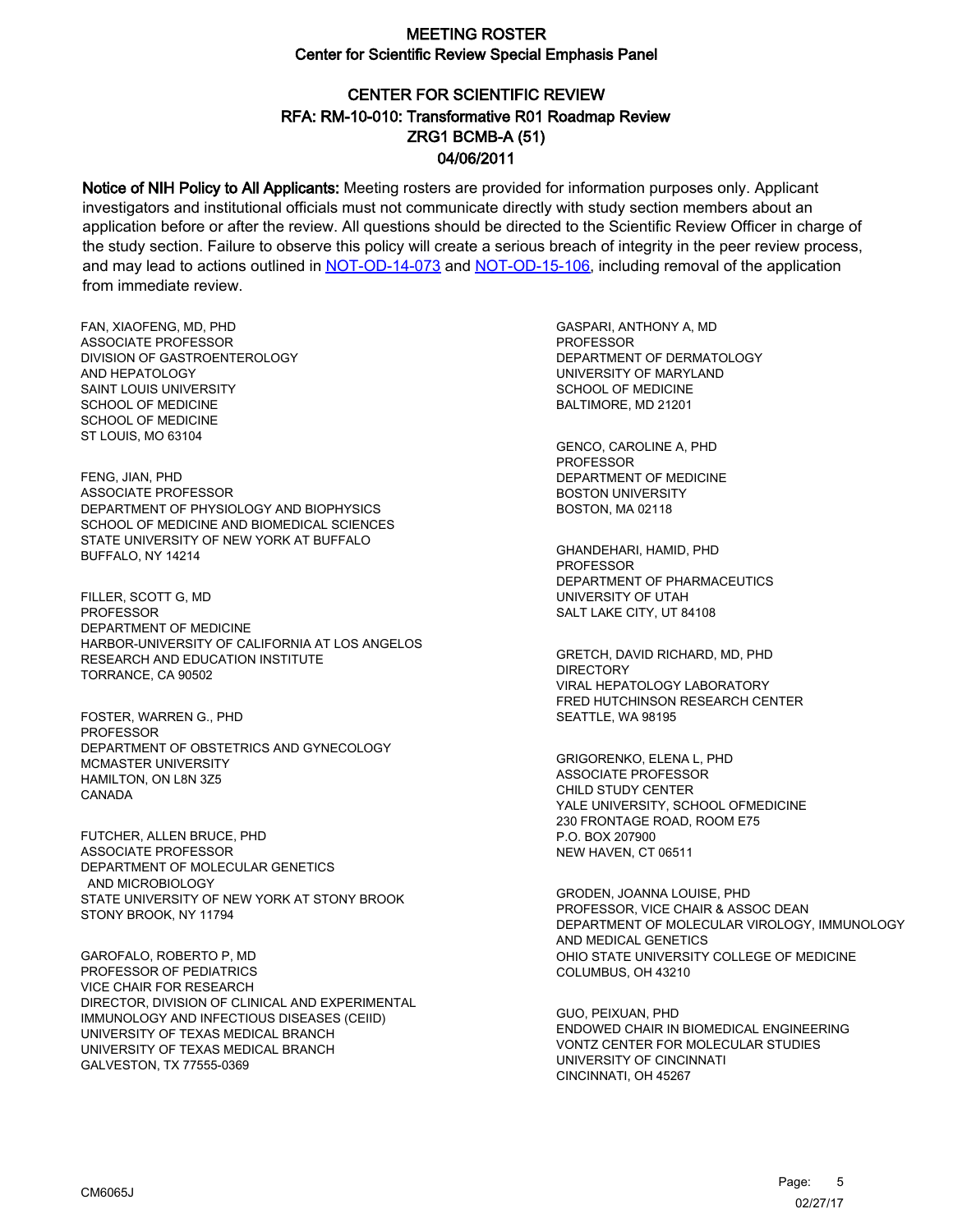# CENTER FOR SCIENTIFIC REVIEW ZRG1 BCMB-A (51) 04/06/2011 RFA: RM-10-010: Transformative R01 Roadmap Review

Notice of NIH Policy to All Applicants: Meeting rosters are provided for information purposes only. Applicant investigators and institutional officials must not communicate directly with study section members about an application before or after the review. All questions should be directed to the Scientific Review Officer in charge of the study section. Failure to observe this policy will create a serious breach of integrity in the peer review process, and may lead to actions outlined in [NOT-OD-14-073](https://grants.nih.gov/grants/guide/notice-files/NOT-OD-14-073.html) and [NOT-OD-15-106,](https://grants.nih.gov/grants/guide/notice-files/NOT-OD-15-106.html) including removal of the application from immediate review.

FAN, XIAOFENG, MD, PHD ASSOCIATE PROFESSOR DIVISION OF GASTROENTEROLOGY AND HEPATOLOGY SAINT LOUIS UNIVERSITY SCHOOL OF MEDICINE SCHOOL OF MEDICINE ST LOUIS, MO 63104

FENG, JIAN, PHD ASSOCIATE PROFESSOR DEPARTMENT OF PHYSIOLOGY AND BIOPHYSICS SCHOOL OF MEDICINE AND BIOMEDICAL SCIENCES STATE UNIVERSITY OF NEW YORK AT BUFFALO BUFFALO, NY 14214

FILLER, SCOTT G, MD PROFESSOR DEPARTMENT OF MEDICINE HARBOR-UNIVERSITY OF CALIFORNIA AT LOS ANGELOS RESEARCH AND EDUCATION INSTITUTE TORRANCE, CA 90502

FOSTER, WARREN G., PHD PROFESSOR DEPARTMENT OF OBSTETRICS AND GYNECOLOGY MCMASTER UNIVERSITY HAMILTON, ON L8N 3Z5 CANADA

FUTCHER, ALLEN BRUCE, PHD ASSOCIATE PROFESSOR DEPARTMENT OF MOLECULAR GENETICS AND MICROBIOLOGY STATE UNIVERSITY OF NEW YORK AT STONY BROOK STONY BROOK, NY 11794

GAROFALO, ROBERTO P, MD PROFESSOR OF PEDIATRICS VICE CHAIR FOR RESEARCH DIRECTOR, DIVISION OF CLINICAL AND EXPERIMENTAL IMMUNOLOGY AND INFECTIOUS DISEASES (CEIID) UNIVERSITY OF TEXAS MEDICAL BRANCH UNIVERSITY OF TEXAS MEDICAL BRANCH GALVESTON, TX 77555-0369

GASPARI, ANTHONY A, MD PROFESSOR DEPARTMENT OF DERMATOLOGY UNIVERSITY OF MARYLAND SCHOOL OF MEDICINE BALTIMORE, MD 21201

GENCO, CAROLINE A, PHD PROFESSOR DEPARTMENT OF MEDICINE BOSTON UNIVERSITY BOSTON, MA 02118

GHANDEHARI, HAMID, PHD PROFESSOR DEPARTMENT OF PHARMACEUTICS UNIVERSITY OF UTAH SALT LAKE CITY, UT 84108

GRETCH, DAVID RICHARD, MD, PHD DIRECTORY VIRAL HEPATOLOGY LABORATORY FRED HUTCHINSON RESEARCH CENTER SEATTLE, WA 98195

GRIGORENKO, ELENA L, PHD ASSOCIATE PROFESSOR CHILD STUDY CENTER YALE UNIVERSITY, SCHOOL OFMEDICINE 230 FRONTAGE ROAD, ROOM E75 P.O. BOX 207900 NEW HAVEN, CT 06511

GRODEN, JOANNA LOUISE, PHD PROFESSOR, VICE CHAIR & ASSOC DEAN DEPARTMENT OF MOLECULAR VIROLOGY, IMMUNOLOGY AND MEDICAL GENETICS OHIO STATE UNIVERSITY COLLEGE OF MEDICINE COLUMBUS, OH 43210

GUO, PEIXUAN, PHD ENDOWED CHAIR IN BIOMEDICAL ENGINEERING VONTZ CENTER FOR MOLECULAR STUDIES UNIVERSITY OF CINCINNATI CINCINNATI, OH 45267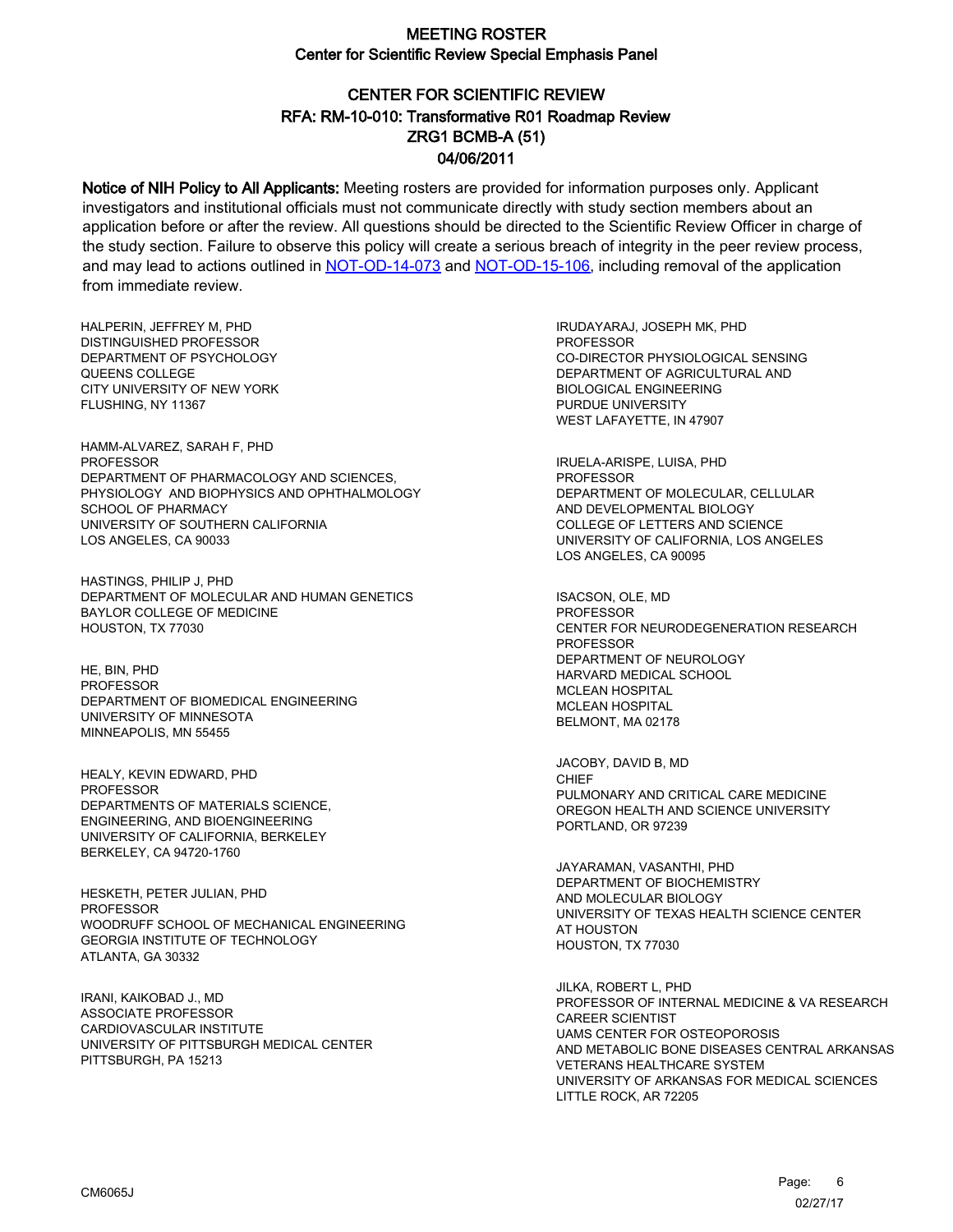# CENTER FOR SCIENTIFIC REVIEW ZRG1 BCMB-A (51) 04/06/2011 RFA: RM-10-010: Transformative R01 Roadmap Review

Notice of NIH Policy to All Applicants: Meeting rosters are provided for information purposes only. Applicant investigators and institutional officials must not communicate directly with study section members about an application before or after the review. All questions should be directed to the Scientific Review Officer in charge of the study section. Failure to observe this policy will create a serious breach of integrity in the peer review process, and may lead to actions outlined in [NOT-OD-14-073](https://grants.nih.gov/grants/guide/notice-files/NOT-OD-14-073.html) and [NOT-OD-15-106,](https://grants.nih.gov/grants/guide/notice-files/NOT-OD-15-106.html) including removal of the application from immediate review.

HALPERIN, JEFFREY M, PHD DISTINGUISHED PROFESSOR DEPARTMENT OF PSYCHOLOGY QUEENS COLLEGE CITY UNIVERSITY OF NEW YORK FLUSHING, NY 11367

HAMM-ALVAREZ, SARAH F, PHD PROFESSOR DEPARTMENT OF PHARMACOLOGY AND SCIENCES, PHYSIOLOGY AND BIOPHYSICS AND OPHTHALMOLOGY SCHOOL OF PHARMACY UNIVERSITY OF SOUTHERN CALIFORNIA LOS ANGELES, CA 90033

HASTINGS, PHILIP J, PHD DEPARTMENT OF MOLECULAR AND HUMAN GENETICS BAYLOR COLLEGE OF MEDICINE HOUSTON, TX 77030

HE, BIN, PHD **PROFESSOR** DEPARTMENT OF BIOMEDICAL ENGINEERING UNIVERSITY OF MINNESOTA MINNEAPOLIS, MN 55455

HEALY, KEVIN EDWARD, PHD PROFESSOR DEPARTMENTS OF MATERIALS SCIENCE, ENGINEERING, AND BIOENGINEERING UNIVERSITY OF CALIFORNIA, BERKELEY BERKELEY, CA 94720-1760

HESKETH, PETER JULIAN, PHD **PROFESSOR** WOODRUFF SCHOOL OF MECHANICAL ENGINEERING GEORGIA INSTITUTE OF TECHNOLOGY ATLANTA, GA 30332

IRANI, KAIKOBAD J., MD ASSOCIATE PROFESSOR CARDIOVASCULAR INSTITUTE UNIVERSITY OF PITTSBURGH MEDICAL CENTER PITTSBURGH, PA 15213

IRUDAYARAJ, JOSEPH MK, PHD PROFESSOR CO-DIRECTOR PHYSIOLOGICAL SENSING DEPARTMENT OF AGRICULTURAL AND BIOLOGICAL ENGINEERING PURDUE UNIVERSITY WEST LAFAYETTE, IN 47907

IRUELA-ARISPE, LUISA, PHD PROFESSOR DEPARTMENT OF MOLECULAR, CELLULAR AND DEVELOPMENTAL BIOLOGY COLLEGE OF LETTERS AND SCIENCE UNIVERSITY OF CALIFORNIA, LOS ANGELES LOS ANGELES, CA 90095

ISACSON, OLE, MD PROFESSOR CENTER FOR NEURODEGENERATION RESEARCH PROFESSOR DEPARTMENT OF NEUROLOGY HARVARD MEDICAL SCHOOL MCLEAN HOSPITAL MCLEAN HOSPITAL BELMONT, MA 02178

JACOBY, DAVID B, MD CHIEF PULMONARY AND CRITICAL CARE MEDICINE OREGON HEALTH AND SCIENCE UNIVERSITY PORTLAND, OR 97239

JAYARAMAN, VASANTHI, PHD DEPARTMENT OF BIOCHEMISTRY AND MOLECULAR BIOLOGY UNIVERSITY OF TEXAS HEALTH SCIENCE CENTER AT HOUSTON HOUSTON, TX 77030

JILKA, ROBERT L, PHD PROFESSOR OF INTERNAL MEDICINE & VA RESEARCH CAREER SCIENTIST UAMS CENTER FOR OSTEOPOROSIS AND METABOLIC BONE DISEASES CENTRAL ARKANSAS VETERANS HEALTHCARE SYSTEM UNIVERSITY OF ARKANSAS FOR MEDICAL SCIENCES LITTLE ROCK, AR 72205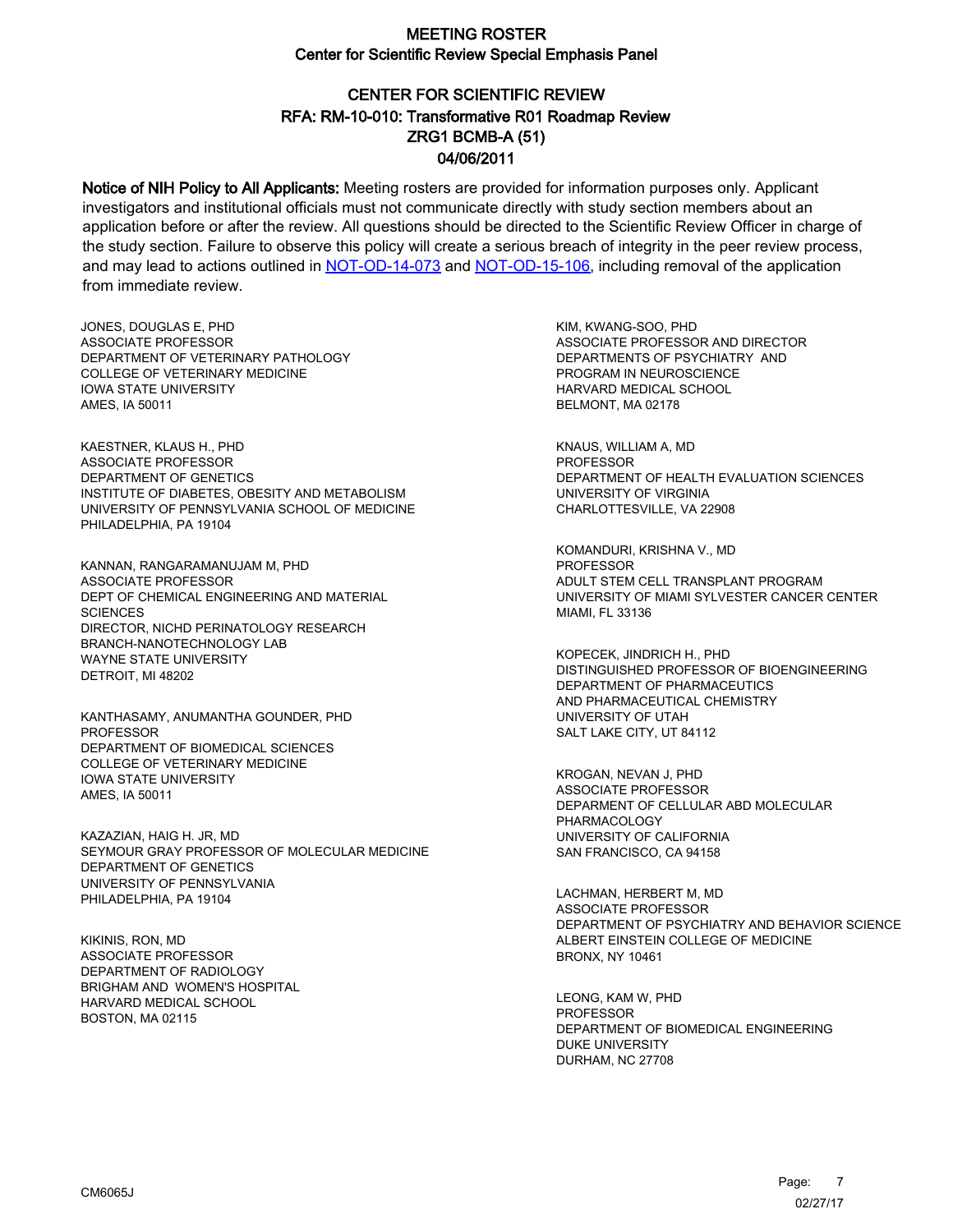# CENTER FOR SCIENTIFIC REVIEW ZRG1 BCMB-A (51) 04/06/2011 RFA: RM-10-010: Transformative R01 Roadmap Review

Notice of NIH Policy to All Applicants: Meeting rosters are provided for information purposes only. Applicant investigators and institutional officials must not communicate directly with study section members about an application before or after the review. All questions should be directed to the Scientific Review Officer in charge of the study section. Failure to observe this policy will create a serious breach of integrity in the peer review process, and may lead to actions outlined in [NOT-OD-14-073](https://grants.nih.gov/grants/guide/notice-files/NOT-OD-14-073.html) and [NOT-OD-15-106,](https://grants.nih.gov/grants/guide/notice-files/NOT-OD-15-106.html) including removal of the application from immediate review.

JONES, DOUGLAS E, PHD ASSOCIATE PROFESSOR DEPARTMENT OF VETERINARY PATHOLOGY COLLEGE OF VETERINARY MEDICINE IOWA STATE UNIVERSITY AMES, IA 50011

KAESTNER, KLAUS H., PHD ASSOCIATE PROFESSOR DEPARTMENT OF GENETICS INSTITUTE OF DIABETES, OBESITY AND METABOLISM UNIVERSITY OF PENNSYLVANIA SCHOOL OF MEDICINE PHILADELPHIA, PA 19104

KANNAN, RANGARAMANUJAM M, PHD ASSOCIATE PROFESSOR DEPT OF CHEMICAL ENGINEERING AND MATERIAL **SCIENCES** DIRECTOR, NICHD PERINATOLOGY RESEARCH BRANCH-NANOTECHNOLOGY LAB WAYNE STATE UNIVERSITY DETROIT, MI 48202

KANTHASAMY, ANUMANTHA GOUNDER, PHD PROFESSOR DEPARTMENT OF BIOMEDICAL SCIENCES COLLEGE OF VETERINARY MEDICINE IOWA STATE UNIVERSITY AMES, IA 50011

KAZAZIAN, HAIG H. JR, MD SEYMOUR GRAY PROFESSOR OF MOLECULAR MEDICINE DEPARTMENT OF GENETICS UNIVERSITY OF PENNSYLVANIA PHILADELPHIA, PA 19104

KIKINIS, RON, MD ASSOCIATE PROFESSOR DEPARTMENT OF RADIOLOGY BRIGHAM AND WOMEN'S HOSPITAL HARVARD MEDICAL SCHOOL BOSTON, MA 02115

KIM, KWANG-SOO, PHD ASSOCIATE PROFESSOR AND DIRECTOR DEPARTMENTS OF PSYCHIATRY AND PROGRAM IN NEUROSCIENCE HARVARD MEDICAL SCHOOL BELMONT, MA 02178

KNAUS, WILLIAM A, MD PROFESSOR DEPARTMENT OF HEALTH EVALUATION SCIENCES UNIVERSITY OF VIRGINIA CHARLOTTESVILLE, VA 22908

KOMANDURI, KRISHNA V., MD PROFESSOR ADULT STEM CELL TRANSPLANT PROGRAM UNIVERSITY OF MIAMI SYLVESTER CANCER CENTER MIAMI, FL 33136

KOPECEK, JINDRICH H., PHD DISTINGUISHED PROFESSOR OF BIOENGINEERING DEPARTMENT OF PHARMACEUTICS AND PHARMACEUTICAL CHEMISTRY UNIVERSITY OF UTAH SALT LAKE CITY, UT 84112

KROGAN, NEVAN J, PHD ASSOCIATE PROFESSOR DEPARMENT OF CELLULAR ABD MOLECULAR PHARMACOLOGY UNIVERSITY OF CALIFORNIA SAN FRANCISCO, CA 94158

LACHMAN, HERBERT M, MD ASSOCIATE PROFESSOR DEPARTMENT OF PSYCHIATRY AND BEHAVIOR SCIENCE ALBERT EINSTEIN COLLEGE OF MEDICINE BRONX, NY 10461

LEONG, KAM W, PHD **PROFESSOR** DEPARTMENT OF BIOMEDICAL ENGINEERING DUKE UNIVERSITY DURHAM, NC 27708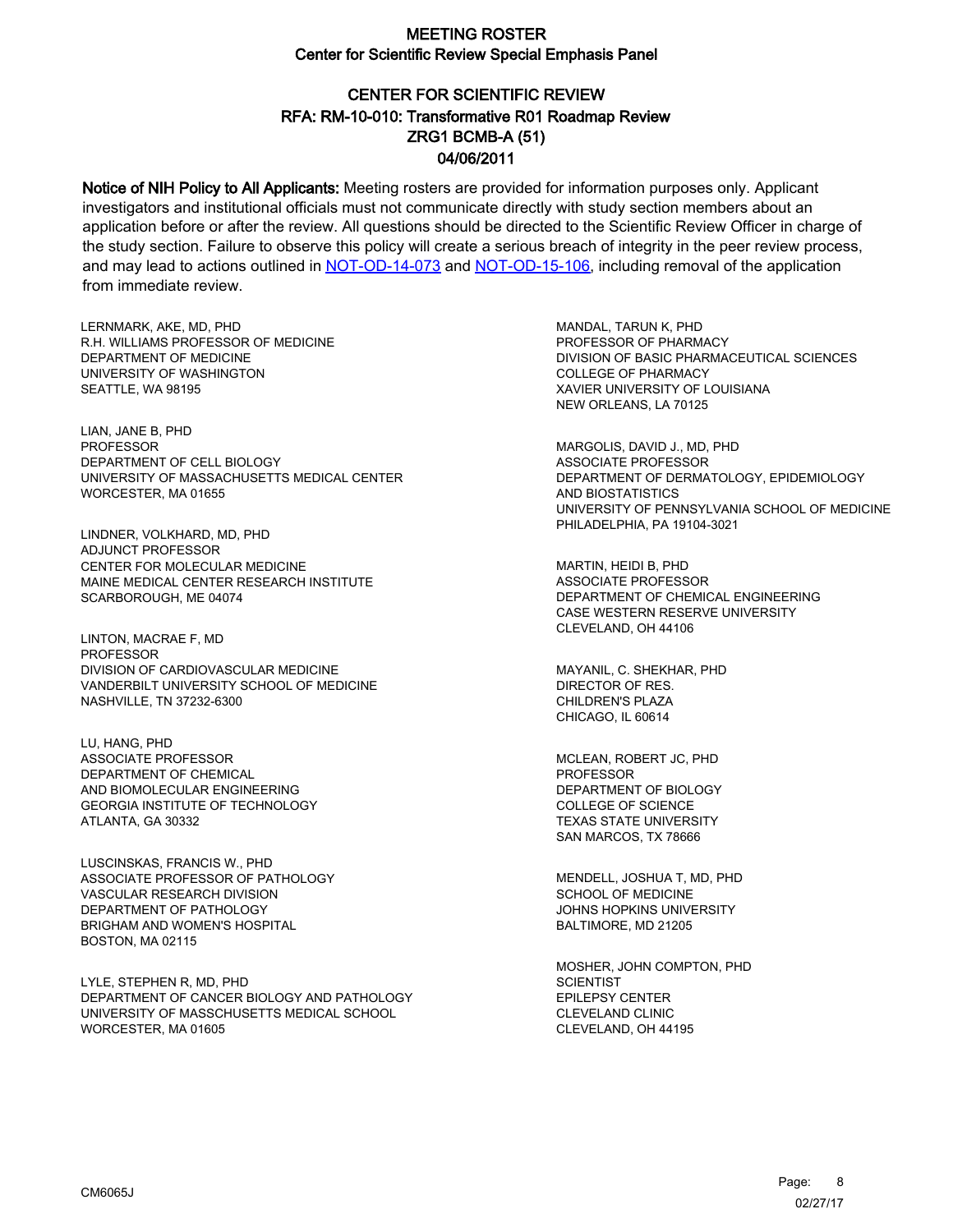# CENTER FOR SCIENTIFIC REVIEW ZRG1 BCMB-A (51) 04/06/2011 RFA: RM-10-010: Transformative R01 Roadmap Review

Notice of NIH Policy to All Applicants: Meeting rosters are provided for information purposes only. Applicant investigators and institutional officials must not communicate directly with study section members about an application before or after the review. All questions should be directed to the Scientific Review Officer in charge of the study section. Failure to observe this policy will create a serious breach of integrity in the peer review process, and may lead to actions outlined in [NOT-OD-14-073](https://grants.nih.gov/grants/guide/notice-files/NOT-OD-14-073.html) and [NOT-OD-15-106,](https://grants.nih.gov/grants/guide/notice-files/NOT-OD-15-106.html) including removal of the application from immediate review.

LERNMARK, AKE, MD, PHD R.H. WILLIAMS PROFESSOR OF MEDICINE DEPARTMENT OF MEDICINE UNIVERSITY OF WASHINGTON SEATTLE, WA 98195

LIAN, JANE B, PHD PROFESSOR DEPARTMENT OF CELL BIOLOGY UNIVERSITY OF MASSACHUSETTS MEDICAL CENTER WORCESTER, MA 01655

LINDNER, VOLKHARD, MD, PHD ADJUNCT PROFESSOR CENTER FOR MOLECULAR MEDICINE MAINE MEDICAL CENTER RESEARCH INSTITUTE SCARBOROUGH, ME 04074

LINTON, MACRAE F, MD **PROFESSOR** DIVISION OF CARDIOVASCULAR MEDICINE VANDERBILT UNIVERSITY SCHOOL OF MEDICINE NASHVILLE, TN 37232-6300

LU, HANG, PHD ASSOCIATE PROFESSOR DEPARTMENT OF CHEMICAL AND BIOMOLECULAR ENGINEERING GEORGIA INSTITUTE OF TECHNOLOGY ATLANTA, GA 30332

LUSCINSKAS, FRANCIS W., PHD ASSOCIATE PROFESSOR OF PATHOLOGY VASCULAR RESEARCH DIVISION DEPARTMENT OF PATHOLOGY BRIGHAM AND WOMEN'S HOSPITAL BOSTON, MA 02115

LYLE, STEPHEN R, MD, PHD DEPARTMENT OF CANCER BIOLOGY AND PATHOLOGY UNIVERSITY OF MASSCHUSETTS MEDICAL SCHOOL WORCESTER, MA 01605

MANDAL, TARUN K, PHD PROFESSOR OF PHARMACY DIVISION OF BASIC PHARMACEUTICAL SCIENCES COLLEGE OF PHARMACY XAVIER UNIVERSITY OF LOUISIANA NEW ORLEANS, LA 70125

MARGOLIS, DAVID J., MD, PHD ASSOCIATE PROFESSOR DEPARTMENT OF DERMATOLOGY, EPIDEMIOLOGY AND BIOSTATISTICS UNIVERSITY OF PENNSYLVANIA SCHOOL OF MEDICINE PHILADELPHIA, PA 19104-3021

MARTIN, HEIDI B, PHD ASSOCIATE PROFESSOR DEPARTMENT OF CHEMICAL ENGINEERING CASE WESTERN RESERVE UNIVERSITY CLEVELAND, OH 44106

MAYANIL, C. SHEKHAR, PHD DIRECTOR OF RES. CHILDREN'S PLAZA CHICAGO, IL 60614

MCLEAN, ROBERT JC, PHD PROFESSOR DEPARTMENT OF BIOLOGY COLLEGE OF SCIENCE TEXAS STATE UNIVERSITY SAN MARCOS, TX 78666

MENDELL, JOSHUA T, MD, PHD SCHOOL OF MEDICINE JOHNS HOPKINS UNIVERSITY BALTIMORE, MD 21205

MOSHER, JOHN COMPTON, PHD **SCIENTIST** EPILEPSY CENTER CLEVELAND CLINIC CLEVELAND, OH 44195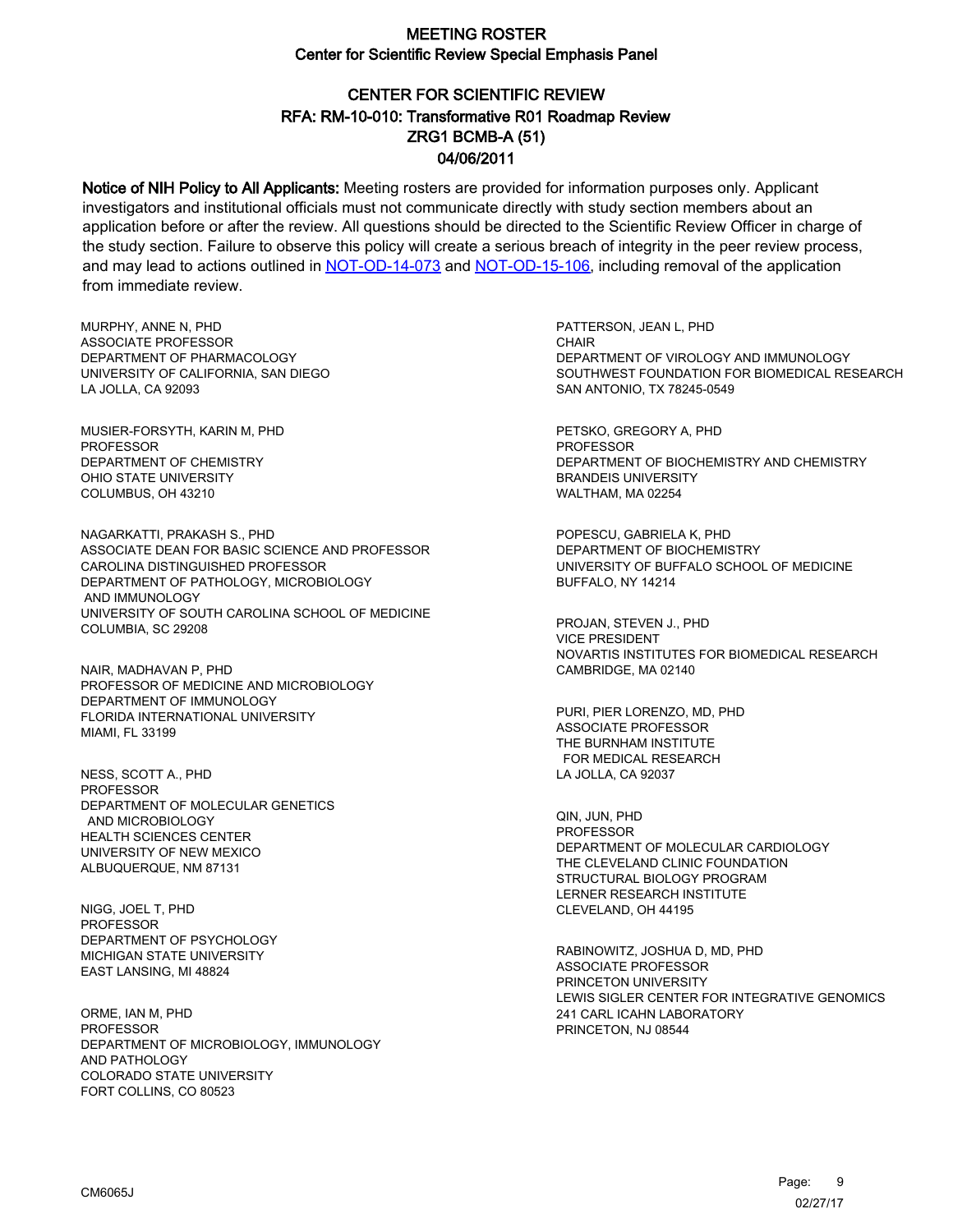# CENTER FOR SCIENTIFIC REVIEW ZRG1 BCMB-A (51) 04/06/2011 RFA: RM-10-010: Transformative R01 Roadmap Review

Notice of NIH Policy to All Applicants: Meeting rosters are provided for information purposes only. Applicant investigators and institutional officials must not communicate directly with study section members about an application before or after the review. All questions should be directed to the Scientific Review Officer in charge of the study section. Failure to observe this policy will create a serious breach of integrity in the peer review process, and may lead to actions outlined in [NOT-OD-14-073](https://grants.nih.gov/grants/guide/notice-files/NOT-OD-14-073.html) and [NOT-OD-15-106,](https://grants.nih.gov/grants/guide/notice-files/NOT-OD-15-106.html) including removal of the application from immediate review.

MURPHY, ANNE N, PHD ASSOCIATE PROFESSOR DEPARTMENT OF PHARMACOLOGY UNIVERSITY OF CALIFORNIA, SAN DIEGO LA JOLLA, CA 92093

MUSIER-FORSYTH, KARIN M, PHD PROFESSOR DEPARTMENT OF CHEMISTRY OHIO STATE UNIVERSITY COLUMBUS, OH 43210

NAGARKATTI, PRAKASH S., PHD ASSOCIATE DEAN FOR BASIC SCIENCE AND PROFESSOR CAROLINA DISTINGUISHED PROFESSOR DEPARTMENT OF PATHOLOGY, MICROBIOLOGY AND IMMUNOLOGY UNIVERSITY OF SOUTH CAROLINA SCHOOL OF MEDICINE COLUMBIA, SC 29208

NAIR, MADHAVAN P, PHD PROFESSOR OF MEDICINE AND MICROBIOLOGY DEPARTMENT OF IMMUNOLOGY FLORIDA INTERNATIONAL UNIVERSITY MIAMI, FL 33199

NESS, SCOTT A., PHD PROFESSOR DEPARTMENT OF MOLECULAR GENETICS AND MICROBIOLOGY HEALTH SCIENCES CENTER UNIVERSITY OF NEW MEXICO ALBUQUERQUE, NM 87131

NIGG, JOEL T, PHD PROFESSOR DEPARTMENT OF PSYCHOLOGY MICHIGAN STATE UNIVERSITY EAST LANSING, MI 48824

ORME, IAN M, PHD PROFESSOR DEPARTMENT OF MICROBIOLOGY, IMMUNOLOGY AND PATHOLOGY COLORADO STATE UNIVERSITY FORT COLLINS, CO 80523

PATTERSON, JEAN L, PHD **CHAIR** DEPARTMENT OF VIROLOGY AND IMMUNOLOGY SOUTHWEST FOUNDATION FOR BIOMEDICAL RESEARCH SAN ANTONIO, TX 78245-0549

PETSKO, GREGORY A, PHD PROFESSOR DEPARTMENT OF BIOCHEMISTRY AND CHEMISTRY BRANDEIS UNIVERSITY WALTHAM, MA 02254

POPESCU, GABRIELA K, PHD DEPARTMENT OF BIOCHEMISTRY UNIVERSITY OF BUFFALO SCHOOL OF MEDICINE BUFFALO, NY 14214

PROJAN, STEVEN J., PHD VICE PRESIDENT NOVARTIS INSTITUTES FOR BIOMEDICAL RESEARCH CAMBRIDGE, MA 02140

PURI, PIER LORENZO, MD, PHD ASSOCIATE PROFESSOR THE BURNHAM INSTITUTE FOR MEDICAL RESEARCH LA JOLLA, CA 92037

QIN, JUN, PHD PROFESSOR DEPARTMENT OF MOLECULAR CARDIOLOGY THE CLEVELAND CLINIC FOUNDATION STRUCTURAL BIOLOGY PROGRAM LERNER RESEARCH INSTITUTE CLEVELAND, OH 44195

RABINOWITZ, JOSHUA D, MD, PHD ASSOCIATE PROFESSOR PRINCETON UNIVERSITY LEWIS SIGLER CENTER FOR INTEGRATIVE GENOMICS 241 CARL ICAHN LABORATORY PRINCETON, NJ 08544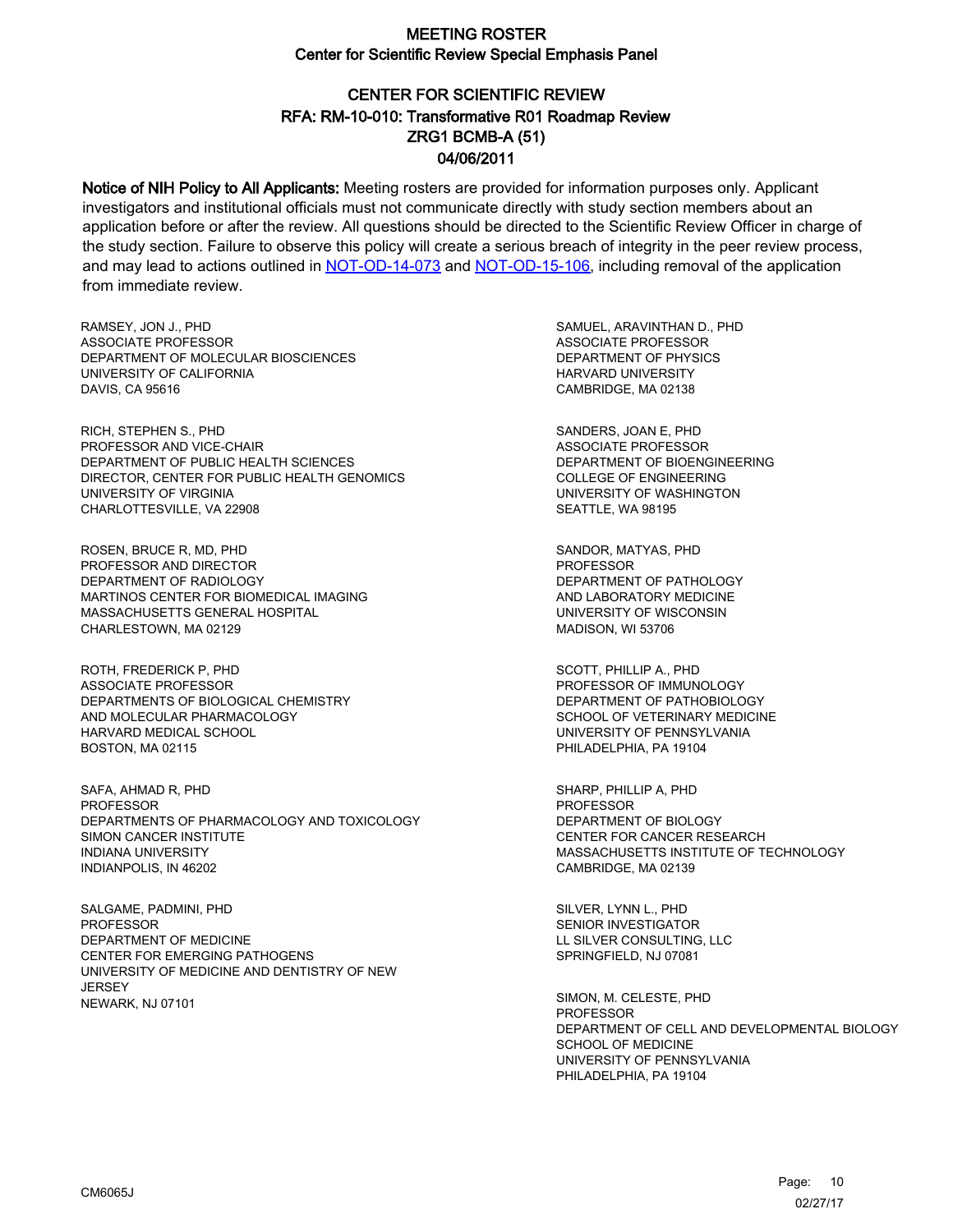# CENTER FOR SCIENTIFIC REVIEW ZRG1 BCMB-A (51) 04/06/2011 RFA: RM-10-010: Transformative R01 Roadmap Review

Notice of NIH Policy to All Applicants: Meeting rosters are provided for information purposes only. Applicant investigators and institutional officials must not communicate directly with study section members about an application before or after the review. All questions should be directed to the Scientific Review Officer in charge of the study section. Failure to observe this policy will create a serious breach of integrity in the peer review process, and may lead to actions outlined in [NOT-OD-14-073](https://grants.nih.gov/grants/guide/notice-files/NOT-OD-14-073.html) and [NOT-OD-15-106,](https://grants.nih.gov/grants/guide/notice-files/NOT-OD-15-106.html) including removal of the application from immediate review.

RAMSEY, JON J., PHD ASSOCIATE PROFESSOR DEPARTMENT OF MOLECULAR BIOSCIENCES UNIVERSITY OF CALIFORNIA DAVIS, CA 95616

RICH, STEPHEN S., PHD PROFESSOR AND VICE-CHAIR DEPARTMENT OF PUBLIC HEALTH SCIENCES DIRECTOR, CENTER FOR PUBLIC HEALTH GENOMICS UNIVERSITY OF VIRGINIA CHARLOTTESVILLE, VA 22908

ROSEN, BRUCE R, MD, PHD PROFESSOR AND DIRECTOR DEPARTMENT OF RADIOLOGY MARTINOS CENTER FOR BIOMEDICAL IMAGING MASSACHUSETTS GENERAL HOSPITAL CHARLESTOWN, MA 02129

ROTH, FREDERICK P, PHD ASSOCIATE PROFESSOR DEPARTMENTS OF BIOLOGICAL CHEMISTRY AND MOLECULAR PHARMACOLOGY HARVARD MEDICAL SCHOOL BOSTON, MA 02115

SAFA, AHMAD R, PHD PROFESSOR DEPARTMENTS OF PHARMACOLOGY AND TOXICOLOGY SIMON CANCER INSTITUTE INDIANA UNIVERSITY INDIANPOLIS, IN 46202

SALGAME, PADMINI, PHD PROFESSOR DEPARTMENT OF MEDICINE CENTER FOR EMERGING PATHOGENS UNIVERSITY OF MEDICINE AND DENTISTRY OF NEW **JERSEY** NEWARK, NJ 07101

SAMUEL, ARAVINTHAN D., PHD ASSOCIATE PROFESSOR DEPARTMENT OF PHYSICS HARVARD UNIVERSITY CAMBRIDGE, MA 02138

SANDERS, JOAN E, PHD ASSOCIATE PROFESSOR DEPARTMENT OF BIOENGINEERING COLLEGE OF ENGINEERING UNIVERSITY OF WASHINGTON SEATTLE, WA 98195

SANDOR, MATYAS, PHD PROFESSOR DEPARTMENT OF PATHOLOGY AND LABORATORY MEDICINE UNIVERSITY OF WISCONSIN MADISON, WI 53706

SCOTT, PHILLIP A., PHD PROFESSOR OF IMMUNOLOGY DEPARTMENT OF PATHOBIOLOGY SCHOOL OF VETERINARY MEDICINE UNIVERSITY OF PENNSYLVANIA PHILADELPHIA, PA 19104

SHARP, PHILLIP A, PHD PROFESSOR DEPARTMENT OF BIOLOGY CENTER FOR CANCER RESEARCH MASSACHUSETTS INSTITUTE OF TECHNOLOGY CAMBRIDGE, MA 02139

SILVER, LYNN L., PHD SENIOR INVESTIGATOR LL SILVER CONSULTING, LLC SPRINGFIELD, NJ 07081

SIMON, M. CELESTE, PHD **PROFESSOR** DEPARTMENT OF CELL AND DEVELOPMENTAL BIOLOGY SCHOOL OF MEDICINE UNIVERSITY OF PENNSYLVANIA PHILADELPHIA, PA 19104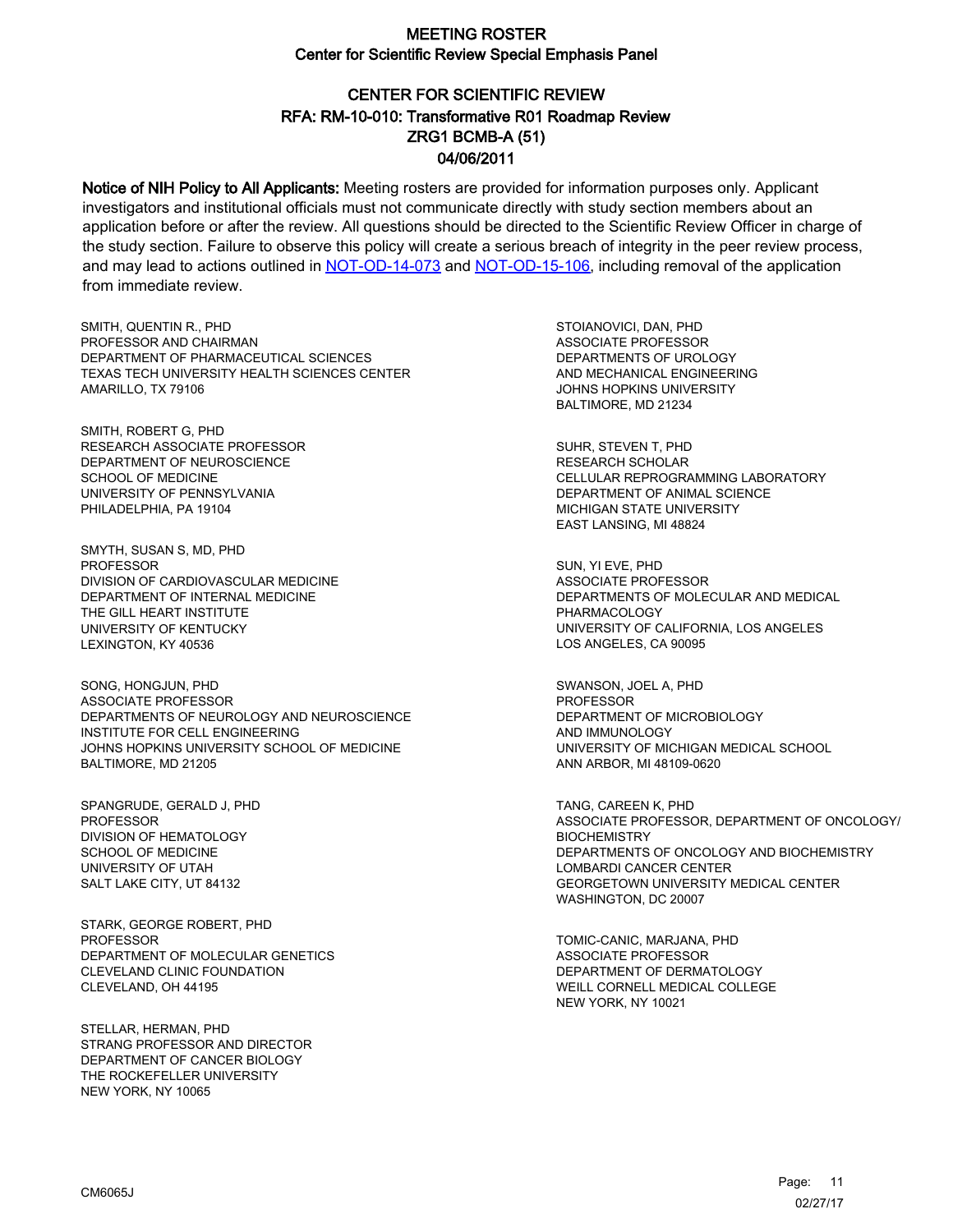# CENTER FOR SCIENTIFIC REVIEW ZRG1 BCMB-A (51) 04/06/2011 RFA: RM-10-010: Transformative R01 Roadmap Review

Notice of NIH Policy to All Applicants: Meeting rosters are provided for information purposes only. Applicant investigators and institutional officials must not communicate directly with study section members about an application before or after the review. All questions should be directed to the Scientific Review Officer in charge of the study section. Failure to observe this policy will create a serious breach of integrity in the peer review process, and may lead to actions outlined in [NOT-OD-14-073](https://grants.nih.gov/grants/guide/notice-files/NOT-OD-14-073.html) and [NOT-OD-15-106,](https://grants.nih.gov/grants/guide/notice-files/NOT-OD-15-106.html) including removal of the application from immediate review.

SMITH, QUENTIN R., PHD PROFESSOR AND CHAIRMAN DEPARTMENT OF PHARMACEUTICAL SCIENCES TEXAS TECH UNIVERSITY HEALTH SCIENCES CENTER AMARILLO, TX 79106

SMITH, ROBERT G, PHD RESEARCH ASSOCIATE PROFESSOR DEPARTMENT OF NEUROSCIENCE SCHOOL OF MEDICINE UNIVERSITY OF PENNSYLVANIA PHILADELPHIA, PA 19104

SMYTH, SUSAN S, MD, PHD PROFESSOR DIVISION OF CARDIOVASCULAR MEDICINE DEPARTMENT OF INTERNAL MEDICINE THE GILL HEART INSTITUTE UNIVERSITY OF KENTUCKY LEXINGTON, KY 40536

SONG, HONGJUN, PHD ASSOCIATE PROFESSOR DEPARTMENTS OF NEUROLOGY AND NEUROSCIENCE INSTITUTE FOR CELL ENGINEERING JOHNS HOPKINS UNIVERSITY SCHOOL OF MEDICINE BALTIMORE, MD 21205

SPANGRUDE, GERALD J, PHD PROFESSOR DIVISION OF HEMATOLOGY SCHOOL OF MEDICINE UNIVERSITY OF UTAH SALT LAKE CITY, UT 84132

STARK, GEORGE ROBERT, PHD PROFESSOR DEPARTMENT OF MOLECULAR GENETICS CLEVELAND CLINIC FOUNDATION CLEVELAND, OH 44195

STELLAR, HERMAN, PHD STRANG PROFESSOR AND DIRECTOR DEPARTMENT OF CANCER BIOLOGY THE ROCKEFELLER UNIVERSITY NEW YORK, NY 10065

STOIANOVICI, DAN, PHD ASSOCIATE PROFESSOR DEPARTMENTS OF UROLOGY AND MECHANICAL ENGINEERING JOHNS HOPKINS UNIVERSITY BALTIMORE, MD 21234

SUHR, STEVEN T, PHD RESEARCH SCHOLAR CELLULAR REPROGRAMMING LABORATORY DEPARTMENT OF ANIMAL SCIENCE MICHIGAN STATE UNIVERSITY EAST LANSING, MI 48824

SUN, YI EVE, PHD ASSOCIATE PROFESSOR DEPARTMENTS OF MOLECULAR AND MEDICAL PHARMACOLOGY UNIVERSITY OF CALIFORNIA, LOS ANGELES LOS ANGELES, CA 90095

SWANSON, JOEL A, PHD PROFESSOR DEPARTMENT OF MICROBIOLOGY AND IMMUNOLOGY UNIVERSITY OF MICHIGAN MEDICAL SCHOOL ANN ARBOR, MI 48109-0620

TANG, CAREEN K, PHD ASSOCIATE PROFESSOR, DEPARTMENT OF ONCOLOGY/ **BIOCHEMISTRY** DEPARTMENTS OF ONCOLOGY AND BIOCHEMISTRY LOMBARDI CANCER CENTER GEORGETOWN UNIVERSITY MEDICAL CENTER WASHINGTON, DC 20007

TOMIC-CANIC, MARJANA, PHD ASSOCIATE PROFESSOR DEPARTMENT OF DERMATOLOGY WEILL CORNELL MEDICAL COLLEGE NEW YORK, NY 10021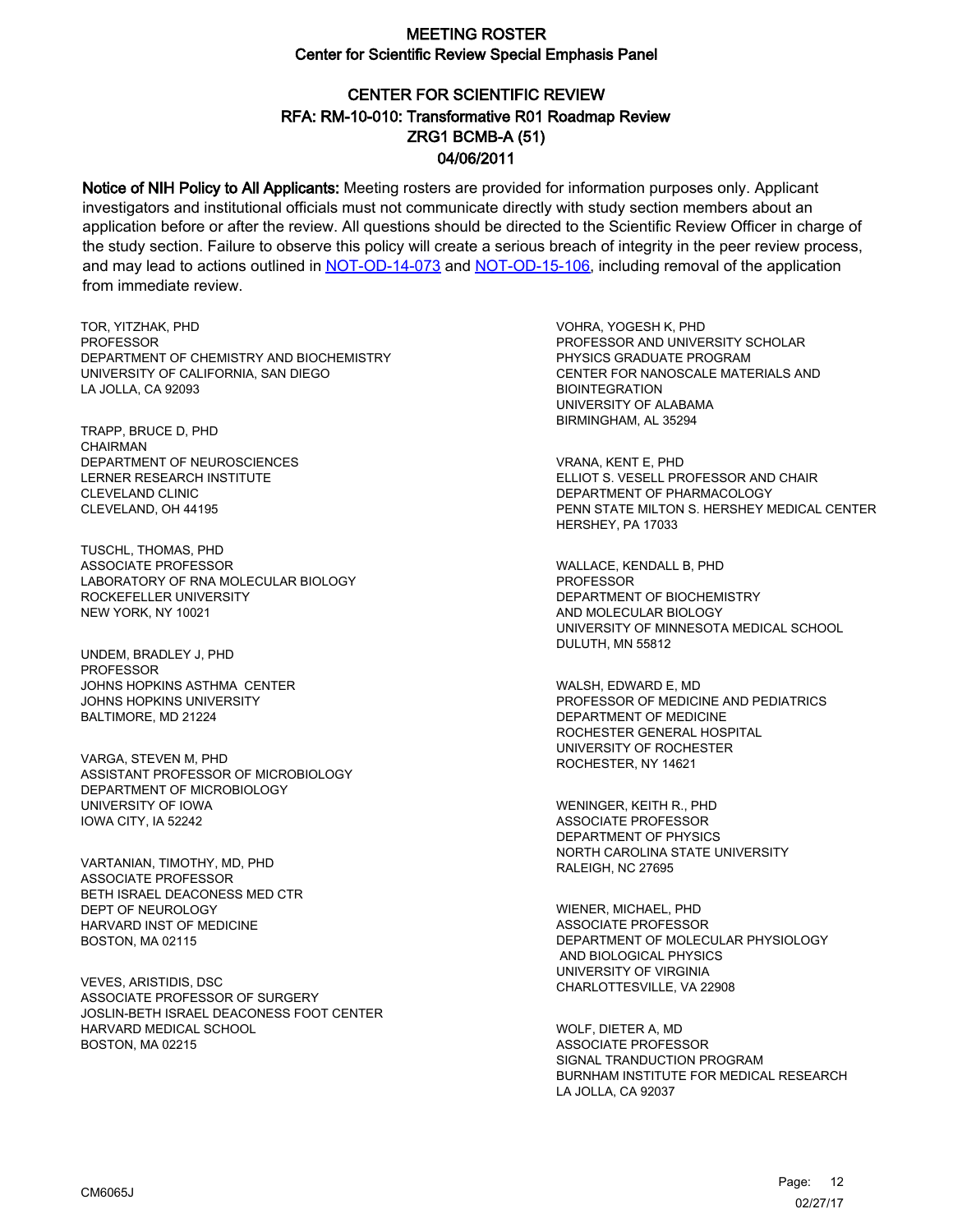# CENTER FOR SCIENTIFIC REVIEW ZRG1 BCMB-A (51) 04/06/2011 RFA: RM-10-010: Transformative R01 Roadmap Review

Notice of NIH Policy to All Applicants: Meeting rosters are provided for information purposes only. Applicant investigators and institutional officials must not communicate directly with study section members about an application before or after the review. All questions should be directed to the Scientific Review Officer in charge of the study section. Failure to observe this policy will create a serious breach of integrity in the peer review process, and may lead to actions outlined in [NOT-OD-14-073](https://grants.nih.gov/grants/guide/notice-files/NOT-OD-14-073.html) and [NOT-OD-15-106,](https://grants.nih.gov/grants/guide/notice-files/NOT-OD-15-106.html) including removal of the application from immediate review.

TOR, YITZHAK, PHD **PROFESSOR** DEPARTMENT OF CHEMISTRY AND BIOCHEMISTRY UNIVERSITY OF CALIFORNIA, SAN DIEGO LA JOLLA, CA 92093

TRAPP, BRUCE D, PHD CHAIRMAN DEPARTMENT OF NEUROSCIENCES LERNER RESEARCH INSTITUTE CLEVELAND CLINIC CLEVELAND, OH 44195

TUSCHL, THOMAS, PHD ASSOCIATE PROFESSOR LABORATORY OF RNA MOLECULAR BIOLOGY ROCKEFELLER UNIVERSITY NEW YORK, NY 10021

UNDEM, BRADLEY J, PHD PROFESSOR JOHNS HOPKINS ASTHMA CENTER JOHNS HOPKINS UNIVERSITY BALTIMORE, MD 21224

VARGA, STEVEN M, PHD ASSISTANT PROFESSOR OF MICROBIOLOGY DEPARTMENT OF MICROBIOLOGY UNIVERSITY OF IOWA IOWA CITY, IA 52242

VARTANIAN, TIMOTHY, MD, PHD ASSOCIATE PROFESSOR BETH ISRAEL DEACONESS MED CTR DEPT OF NEUROLOGY HARVARD INST OF MEDICINE BOSTON, MA 02115

VEVES, ARISTIDIS, DSC ASSOCIATE PROFESSOR OF SURGERY JOSLIN-BETH ISRAEL DEACONESS FOOT CENTER HARVARD MEDICAL SCHOOL BOSTON, MA 02215

VOHRA, YOGESH K, PHD PROFESSOR AND UNIVERSITY SCHOLAR PHYSICS GRADUATE PROGRAM CENTER FOR NANOSCALE MATERIALS AND BIOINTEGRATION UNIVERSITY OF ALABAMA BIRMINGHAM, AL 35294

VRANA, KENT E, PHD ELLIOT S. VESELL PROFESSOR AND CHAIR DEPARTMENT OF PHARMACOLOGY PENN STATE MILTON S. HERSHEY MEDICAL CENTER HERSHEY, PA 17033

WALLACE, KENDALL B, PHD **PROFESSOR** DEPARTMENT OF BIOCHEMISTRY AND MOLECULAR BIOLOGY UNIVERSITY OF MINNESOTA MEDICAL SCHOOL DULUTH, MN 55812

WALSH, EDWARD E, MD PROFESSOR OF MEDICINE AND PEDIATRICS DEPARTMENT OF MEDICINE ROCHESTER GENERAL HOSPITAL UNIVERSITY OF ROCHESTER ROCHESTER, NY 14621

WENINGER, KEITH R., PHD ASSOCIATE PROFESSOR DEPARTMENT OF PHYSICS NORTH CAROLINA STATE UNIVERSITY RALEIGH, NC 27695

WIENER, MICHAEL, PHD ASSOCIATE PROFESSOR DEPARTMENT OF MOLECULAR PHYSIOLOGY AND BIOLOGICAL PHYSICS UNIVERSITY OF VIRGINIA CHARLOTTESVILLE, VA 22908

WOLF, DIETER A, MD ASSOCIATE PROFESSOR SIGNAL TRANDUCTION PROGRAM BURNHAM INSTITUTE FOR MEDICAL RESEARCH LA JOLLA, CA 92037